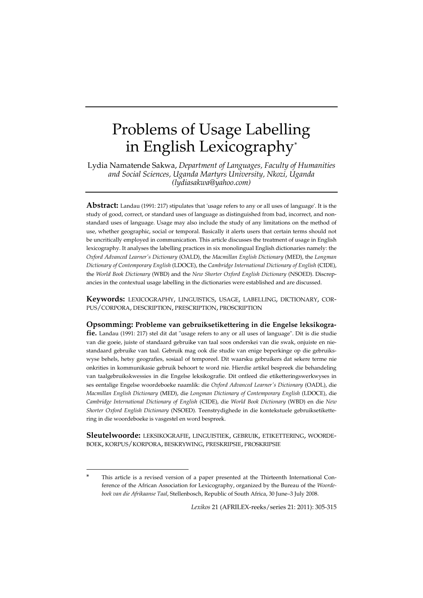# Problems of Usage Labelling in English Lexicography\*

Lydia Namatende Sakwa, *Department of Languages, Faculty of Humanities and Social Sciences, Uganda Martyrs University, Nkozi, Uganda (lydiasakwa@yahoo.com)*

**Abstract:** Landau (1991: 217) stipulates that 'usage refers to any or all uses of language'. It is the study of good, correct, or standard uses of language as distinguished from bad, incorrect, and nonstandard uses of language. Usage may also include the study of any limitations on the method of use, whether geographic, social or temporal. Basically it alerts users that certain terms should not be uncritically employed in communication. This article discusses the treatment of usage in English lexicography. It analyses the labelling practices in six monolingual English dictionaries namely: the *Oxford Advanced Learner's Dictionary* (OALD), the *Macmillan English Dictionary* (MED), the *Longman Dictionary of Contemporary English* (LDOCE), the *Cambridge International Dictionary of English* (CIDE), the *World Book Dictionary* (WBD) and the *New Shorter Oxford English Dictionary* (NSOED). Discrepancies in the contextual usage labelling in the dictionaries were established and are discussed.

**Keywords:** LEXICOGRAPHY, LINGUISTICS, USAGE, LABELLING, DICTIONARY, COR-PUS/CORPORA, DESCRIPTION, PRESCRIPTION, PROSCRIPTION

**Opsomming: Probleme van gebruiksetikettering in die Engelse leksikografie.** Landau (1991: 217) stel dit dat "usage refers to any or all uses of language". Dit is die studie van die goeie, juiste of standaard gebruike van taal soos onderskei van die swak, onjuiste en niestandaard gebruike van taal. Gebruik mag ook die studie van enige beperkinge op die gebruikswyse behels, hetsy geografies, sosiaal of temporeel. Dit waarsku gebruikers dat sekere terme nie onkrities in kommunikasie gebruik behoort te word nie. Hierdie artikel bespreek die behandeling van taalgebruikskwessies in die Engelse leksikografie. Dit ontleed die etiketteringswerkwyses in ses eentalige Engelse woordeboeke naamlik: die *Oxford Advanced Learner's Dictionary* (OADL), die *Macmillan English Dictionary* (MED), die *Longman Dictionary of Contemporary English* (LDOCE), die *Cambridge International Dictionary of English* (CIDE), die *World Book Dictionary* (WBD) en die *New Shorter Oxford English Dictionary* (NSOED). Teenstrydighede in die kontekstuele gebruiksetikettering in die woordeboeke is vasgestel en word bespreek.

**Sleutelwoorde:** LEKSIKOGRAFIE, LINGUISTIEK, GEBRUIK, ETIKETTERING, WOORDE-BOEK, KORPUS/KORPORA, BESKRYWING, PRESKRIPSIE, PROSKRIPSIE

-

*Lexikos* 21 (AFRILEX-reeks/series 21: 2011): 305-315

This article is a revised version of a paper presented at the Thirteenth International Conference of the African Association for Lexicography, organized by the Bureau of the *Woordeboek van die Afrikaanse Taal*, Stellenbosch, Republic of South Africa, 30 June–3 July 2008.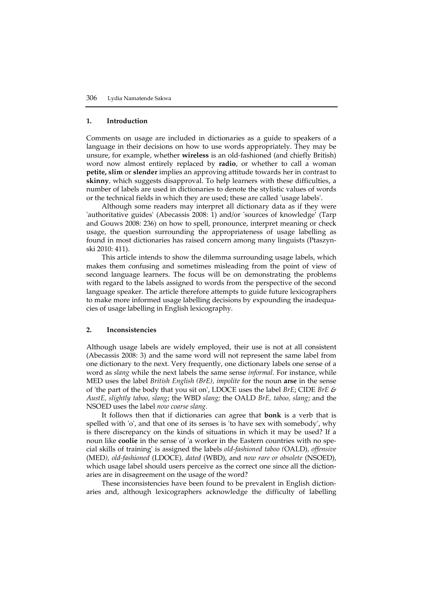#### **1. Introduction**

Comments on usage are included in dictionaries as a guide to speakers of a language in their decisions on how to use words appropriately. They may be unsure, for example, whether **wireless** is an old-fashioned (and chiefly British) word now almost entirely replaced by **radio**, or whether to call a woman **petite, slim** or **slender** implies an approving attitude towards her in contrast to **skinny***,* which suggests disapproval. To help learners with these difficulties, a number of labels are used in dictionaries to denote the stylistic values of words or the technical fields in which they are used; these are called 'usage labels'.

Although some readers may interpret all dictionary data as if they were 'authoritative guides' (Abecassis 2008: 1) and/or 'sources of knowledge' (Tarp and Gouws 2008: 236) on how to spell, pronounce, interpret meaning or check usage, the question surrounding the appropriateness of usage labelling as found in most dictionaries has raised concern among many linguists (Ptaszynski 2010: 411).

This article intends to show the dilemma surrounding usage labels, which makes them confusing and sometimes misleading from the point of view of second language learners. The focus will be on demonstrating the problems with regard to the labels assigned to words from the perspective of the second language speaker. The article therefore attempts to guide future lexicographers to make more informed usage labelling decisions by expounding the inadequacies of usage labelling in English lexicography.

### **2. Inconsistencies**

Although usage labels are widely employed, their use is not at all consistent (Abecassis 2008: 3) and the same word will not represent the same label from one dictionary to the next. Very frequently, one dictionary labels one sense of a word as *slang* while the next labels the same sense *informal*. For instance, while MED uses the label *British English (BrE), impolite* for the noun **arse** in the sense of 'the part of the body that you sit on', LDOCE uses the label *BrE*; CIDE *BrE & AustE, slightly taboo, slang*; the WBD *slang;* the OALD *BrE, taboo, slang*; and the NSOED uses the label *now coarse slang*.

It follows then that if dictionaries can agree that **bonk** is a verb that is spelled with 'o', and that one of its senses is 'to have sex with somebody', why is there discrepancy on the kinds of situations in which it may be used? If a noun like **coolie** in the sense of 'a worker in the Eastern countries with no special skills of training' is assigned the labels *old-fashioned taboo (*OALD)*, offensive* (MED*), old-fashioned* (LDOCE)*, dated* (WBD), and *now rare or obsolete* (NSOED), which usage label should users perceive as the correct one since all the dictionaries are in disagreement on the usage of the word?

These inconsistencies have been found to be prevalent in English dictionaries and, although lexicographers acknowledge the difficulty of labelling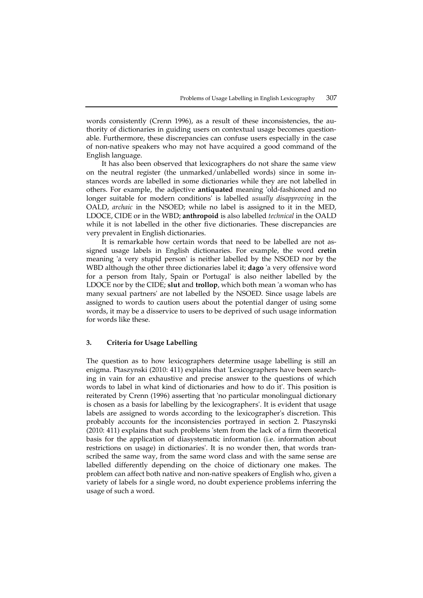words consistently (Crenn 1996), as a result of these inconsistencies, the authority of dictionaries in guiding users on contextual usage becomes questionable. Furthermore, these discrepancies can confuse users especially in the case of non-native speakers who may not have acquired a good command of the English language.

It has also been observed that lexicographers do not share the same view on the neutral register (the unmarked/unlabelled words) since in some instances words are labelled in some dictionaries while they are not labelled in others. For example, the adjective **antiquated** meaning 'old-fashioned and no longer suitable for modern conditions' is labelled *usually disapproving* in the OALD, *archaic* in the NSOED; while no label is assigned to it in the MED, LDOCE, CIDE or in the WBD; **anthropoid** is also labelled *technical* in the OALD while it is not labelled in the other five dictionaries. These discrepancies are very prevalent in English dictionaries.

It is remarkable how certain words that need to be labelled are not assigned usage labels in English dictionaries. For example, the word **cretin** meaning 'a very stupid person' is neither labelled by the NSOED nor by the WBD although the other three dictionaries label it; **dago** 'a very offensive word for a person from Italy, Spain or Portugal' is also neither labelled by the LDOCE nor by the CIDE; **slut** and **trollop**, which both mean 'a woman who has many sexual partners' are not labelled by the NSOED. Since usage labels are assigned to words to caution users about the potential danger of using some words, it may be a disservice to users to be deprived of such usage information for words like these.

#### **3. Criteria for Usage Labelling**

The question as to how lexicographers determine usage labelling is still an enigma. Ptaszynski (2010: 411) explains that 'Lexicographers have been searching in vain for an exhaustive and precise answer to the questions of which words to label in what kind of dictionaries and how to do it'. This position is reiterated by Crenn (1996) asserting that 'no particular monolingual dictionary is chosen as a basis for labelling by the lexicographers'. It is evident that usage labels are assigned to words according to the lexicographer's discretion. This probably accounts for the inconsistencies portrayed in section 2. Ptaszynski (2010: 411) explains that such problems 'stem from the lack of a firm theoretical basis for the application of diasystematic information (i.e. information about restrictions on usage) in dictionaries'. It is no wonder then, that words transcribed the same way, from the same word class and with the same sense are labelled differently depending on the choice of dictionary one makes. The problem can affect both native and non-native speakers of English who, given a variety of labels for a single word, no doubt experience problems inferring the usage of such a word.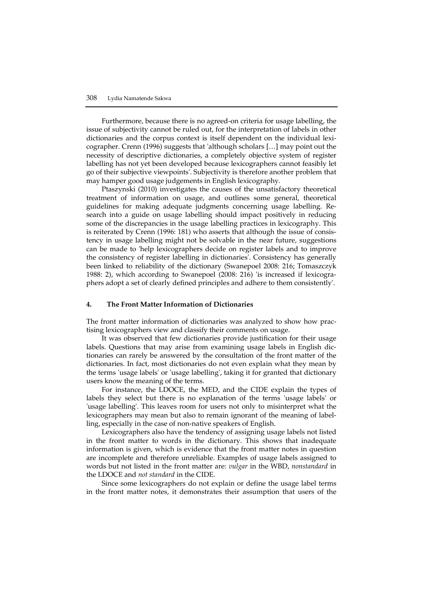Furthermore, because there is no agreed-on criteria for usage labelling, the issue of subjectivity cannot be ruled out, for the interpretation of labels in other dictionaries and the corpus context is itself dependent on the individual lexicographer. Crenn (1996) suggests that 'although scholars […] may point out the necessity of descriptive dictionaries, a completely objective system of register labelling has not yet been developed because lexicographers cannot feasibly let go of their subjective viewpoints'. Subjectivity is therefore another problem that may hamper good usage judgements in English lexicography.

Ptaszynski (2010) investigates the causes of the unsatisfactory theoretical treatment of information on usage, and outlines some general, theoretical guidelines for making adequate judgments concerning usage labelling. Research into a guide on usage labelling should impact positively in reducing some of the discrepancies in the usage labelling practices in lexicography. This is reiterated by Crenn (1996: 181) who asserts that although the issue of consistency in usage labelling might not be solvable in the near future, suggestions can be made to 'help lexicographers decide on register labels and to improve the consistency of register labelling in dictionaries'. Consistency has generally been linked to reliability of the dictionary (Swanepoel 2008: 216; Tomaszczyk 1988: 2), which according to Swanepoel (2008: 216) 'is increased if lexicographers adopt a set of clearly defined principles and adhere to them consistently'.

#### **4. The Front Matter Information of Dictionaries**

The front matter information of dictionaries was analyzed to show how practising lexicographers view and classify their comments on usage.

It was observed that few dictionaries provide justification for their usage labels. Questions that may arise from examining usage labels in English dictionaries can rarely be answered by the consultation of the front matter of the dictionaries. In fact, most dictionaries do not even explain what they mean by the terms 'usage labels' or 'usage labelling', taking it for granted that dictionary users know the meaning of the terms.

For instance, the LDOCE, the MED, and the CIDE explain the types of labels they select but there is no explanation of the terms 'usage labels' or 'usage labelling'. This leaves room for users not only to misinterpret what the lexicographers may mean but also to remain ignorant of the meaning of labelling, especially in the case of non-native speakers of English.

Lexicographers also have the tendency of assigning usage labels not listed in the front matter to words in the dictionary. This shows that inadequate information is given, which is evidence that the front matter notes in question are incomplete and therefore unreliable. Examples of usage labels assigned to words but not listed in the front matter are: *vulgar* in the WBD, *nonstandard* in the LDOCE and *not standard* in the CIDE.

Since some lexicographers do not explain or define the usage label terms in the front matter notes, it demonstrates their assumption that users of the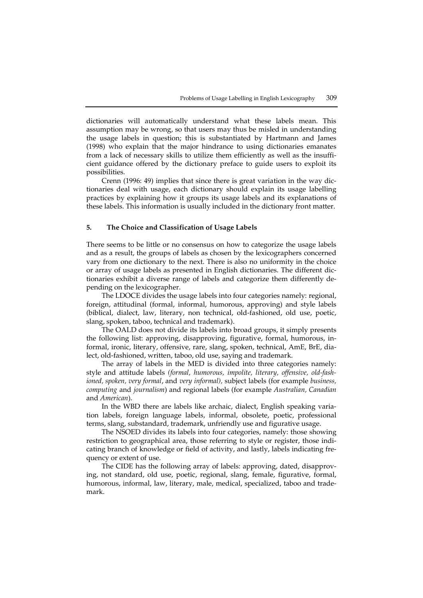dictionaries will automatically understand what these labels mean. This assumption may be wrong, so that users may thus be misled in understanding the usage labels in question; this is substantiated by Hartmann and James (1998) who explain that the major hindrance to using dictionaries emanates from a lack of necessary skills to utilize them efficiently as well as the insufficient guidance offered by the dictionary preface to guide users to exploit its possibilities.

Crenn (1996: 49) implies that since there is great variation in the way dictionaries deal with usage, each dictionary should explain its usage labelling practices by explaining how it groups its usage labels and its explanations of these labels. This information is usually included in the dictionary front matter.

#### **5. The Choice and Classification of Usage Labels**

There seems to be little or no consensus on how to categorize the usage labels and as a result, the groups of labels as chosen by the lexicographers concerned vary from one dictionary to the next. There is also no uniformity in the choice or array of usage labels as presented in English dictionaries. The different dictionaries exhibit a diverse range of labels and categorize them differently depending on the lexicographer.

The LDOCE divides the usage labels into four categories namely: regional, foreign, attitudinal (formal, informal, humorous, approving) and style labels (biblical, dialect, law, literary, non technical, old-fashioned, old use, poetic, slang, spoken, taboo, technical and trademark).

The OALD does not divide its labels into broad groups, it simply presents the following list: approving, disapproving, figurative, formal, humorous, informal, ironic, literary, offensive, rare, slang, spoken, technical, AmE, BrE, dialect, old-fashioned, written, taboo, old use, saying and trademark.

The array of labels in the MED is divided into three categories namely: style and attitude labels *(formal, humorous, impolite, literary, offensive, old-fashioned, spoken, very formal*, and *very informal),* subject labels (for example *business, computing* and *journalism*) and regional labels (for example *Australian, Canadian*  and *American*).

In the WBD there are labels like archaic, dialect, English speaking variation labels, foreign language labels, informal, obsolete, poetic, professional terms, slang, substandard, trademark, unfriendly use and figurative usage.

The NSOED divides its labels into four categories, namely: those showing restriction to geographical area, those referring to style or register, those indicating branch of knowledge or field of activity, and lastly, labels indicating frequency or extent of use.

The CIDE has the following array of labels: approving, dated, disapproving, not standard, old use, poetic, regional, slang, female, figurative, formal, humorous, informal, law, literary, male, medical, specialized, taboo and trademark.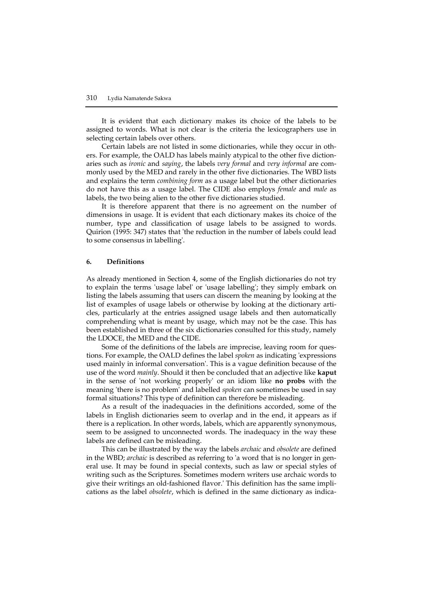It is evident that each dictionary makes its choice of the labels to be assigned to words. What is not clear is the criteria the lexicographers use in selecting certain labels over others.

Certain labels are not listed in some dictionaries, while they occur in others. For example, the OALD has labels mainly atypical to the other five dictionaries such as *ironic* and *saying*, the labels *very formal* and *very informal* are commonly used by the MED and rarely in the other five dictionaries. The WBD lists and explains the term *combining form* as a usage label but the other dictionaries do not have this as a usage label. The CIDE also employs *female* and *male* as labels, the two being alien to the other five dictionaries studied.

It is therefore apparent that there is no agreement on the number of dimensions in usage. It is evident that each dictionary makes its choice of the number, type and classification of usage labels to be assigned to words. Quirion (1995: 347) states that 'the reduction in the number of labels could lead to some consensus in labelling'.

#### **6. Definitions**

As already mentioned in Section 4, some of the English dictionaries do not try to explain the terms 'usage label' or 'usage labelling'; they simply embark on listing the labels assuming that users can discern the meaning by looking at the list of examples of usage labels or otherwise by looking at the dictionary articles, particularly at the entries assigned usage labels and then automatically comprehending what is meant by usage, which may not be the case. This has been established in three of the six dictionaries consulted for this study, namely the LDOCE, the MED and the CIDE.

Some of the definitions of the labels are imprecise, leaving room for questions. For example, the OALD defines the label *spoken* as indicating 'expressions used mainly in informal conversation'. This is a vague definition because of the use of the word *mainly*. Should it then be concluded that an adjective like **kaput** in the sense of 'not working properly' or an idiom like **no probs** with the meaning 'there is no problem' and labelled *spoken* can sometimes be used in say formal situations? This type of definition can therefore be misleading.

As a result of the inadequacies in the definitions accorded, some of the labels in English dictionaries seem to overlap and in the end, it appears as if there is a replication. In other words, labels, which are apparently synonymous, seem to be assigned to unconnected words. The inadequacy in the way these labels are defined can be misleading.

This can be illustrated by the way the labels *archaic* and *obsolete* are defined in the WBD; *archaic* is described as referring to 'a word that is no longer in general use. It may be found in special contexts, such as law or special styles of writing such as the Scriptures. Sometimes modern writers use archaic words to give their writings an old-fashioned flavor.' This definition has the same implications as the label *obsolete*, which is defined in the same dictionary as indica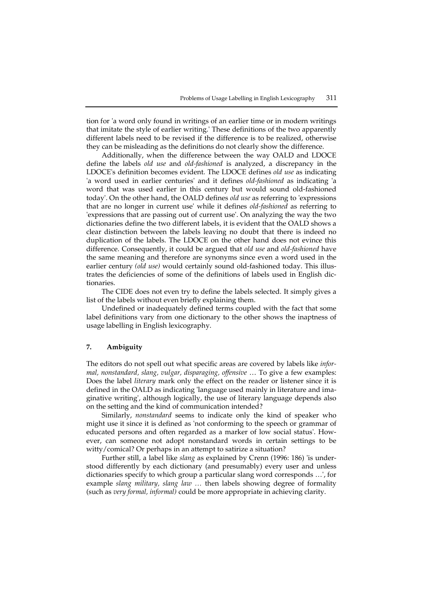tion for 'a word only found in writings of an earlier time or in modern writings that imitate the style of earlier writing.' These definitions of the two apparently different labels need to be revised if the difference is to be realized, otherwise they can be misleading as the definitions do not clearly show the difference.

Additionally, when the difference between the way OALD and LDOCE define the labels *old use* and *old-fashioned* is analyzed, a discrepancy in the LDOCE's definition becomes evident. The LDOCE defines *old use* as indicating 'a word used in earlier centuries' and it defines *old-fashioned* as indicating 'a word that was used earlier in this century but would sound old-fashioned today'. On the other hand, the OALD defines *old use* as referring to 'expressions that are no longer in current use' while it defines *old-fashioned* as referring to 'expressions that are passing out of current use'. On analyzing the way the two dictionaries define the two different labels, it is evident that the OALD shows a clear distinction between the labels leaving no doubt that there is indeed no duplication of the labels. The LDOCE on the other hand does not evince this difference. Consequently, it could be argued that *old use* and *old-fashioned* have the same meaning and therefore are synonyms since even a word used in the earlier century *(old use)* would certainly sound old-fashioned today. This illustrates the deficiencies of some of the definitions of labels used in English dictionaries.

The CIDE does not even try to define the labels selected. It simply gives a list of the labels without even briefly explaining them.

Undefined or inadequately defined terms coupled with the fact that some label definitions vary from one dictionary to the other shows the inaptness of usage labelling in English lexicography.

## **7. Ambiguity**

The editors do not spell out what specific areas are covered by labels like *informal, nonstandard, slang, vulgar, disparaging, offensive* … To give a few examples: Does the label *literary* mark only the effect on the reader or listener since it is defined in the OALD as indicating 'language used mainly in literature and imaginative writing', although logically, the use of literary language depends also on the setting and the kind of communication intended?

Similarly, *nonstandard* seems to indicate only the kind of speaker who might use it since it is defined as 'not conforming to the speech or grammar of educated persons and often regarded as a marker of low social status'. However, can someone not adopt nonstandard words in certain settings to be witty/comical? Or perhaps in an attempt to satirize a situation?

Further still, a label like *slang* as explained by Crenn (1996: 186) 'is understood differently by each dictionary (and presumably) every user and unless dictionaries specify to which group a particular slang word corresponds …', for example *slang military, slang law …* then labels showing degree of formality (such as *very formal, informal)* could be more appropriate in achieving clarity.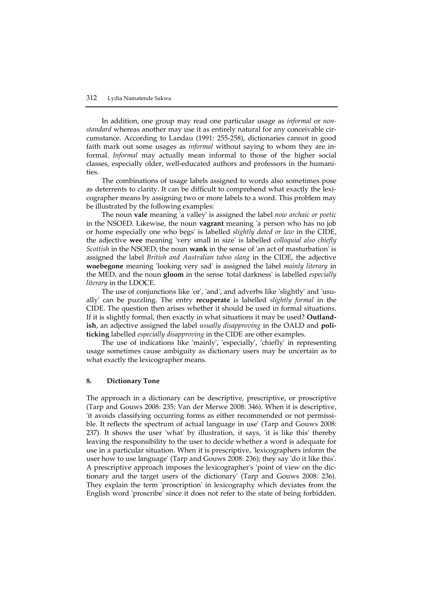In addition, one group may read one particular usage as *informal* or *nonstandard* whereas another may use it as entirely natural for any conceivable circumstance. According to Landau (1991: 255-258), dictionaries cannot in good faith mark out some usages as *informal* without saying to whom they are informal. *Informal* may actually mean informal to those of the higher social classes, especially older, well-educated authors and professors in the humanities.

The combinations of usage labels assigned to words also sometimes pose as deterrents to clarity. It can be difficult to comprehend what exactly the lexicographer means by assigning two or more labels to a word. This problem may be illustrated by the following examples:

The noun **vale** meaning 'a valley' is assigned the label *now archaic or poetic* in the NSOED. Likewise, the noun **vagrant** meaning 'a person who has no job or home especially one who begs' is labelled *slightly dated or law* in the CIDE, the adjective **wee** meaning 'very small in size' is labelled *colloquial also chiefly Scottish* in the NSOED, the noun **wank** in the sense of 'an act of masturbation' is assigned the label *British and Australian taboo slang* in the CIDE, the adjective **woebegone** meaning 'looking very sad' is assigned the label *mainly literary* in the MED, and the noun **gloom** in the sense 'total darkness' is labelled *especially literary* in the LDOCE.

The use of conjunctions like 'or', 'and', and adverbs like 'slightly' and 'usually' can be puzzling. The entry **recuperate** is labelled *slightly formal* in the CIDE. The question then arises whether it should be used in formal situations. If it is slightly formal, then exactly in what situations it may be used? **Outlandish**, an adjective assigned the label *usually disapproving* in the OALD and **politicking** labelled *especially disapproving* in the CIDE are other examples.

The use of indications like 'mainly', 'especially', 'chiefly' in representing usage sometimes cause ambiguity as dictionary users may be uncertain as to what exactly the lexicographer means.

#### **8. Dictionary Tone**

The approach in a dictionary can be descriptive, prescriptive, or proscriptive (Tarp and Gouws 2008: 235; Van der Merwe 2008: 346). When it is descriptive, 'it avoids classifying occurring forms as either recommended or not permissible. It reflects the spectrum of actual language in use' (Tarp and Gouws 2008: 237). It shows the user 'what' by illustration, it says, 'it is like this' thereby leaving the responsibility to the user to decide whether a word is adequate for use in a particular situation. When it is prescriptive, 'lexicographers inform the user how to use language' (Tarp and Gouws 2008: 236); they say 'do it like this'. A prescriptive approach imposes the lexicographer's 'point of view on the dictionary and the target users of the dictionary' (Tarp and Gouws 2008: 236). They explain the term 'proscription' in lexicography which deviates from the English word 'proscribe' since it does not refer to the state of being forbidden.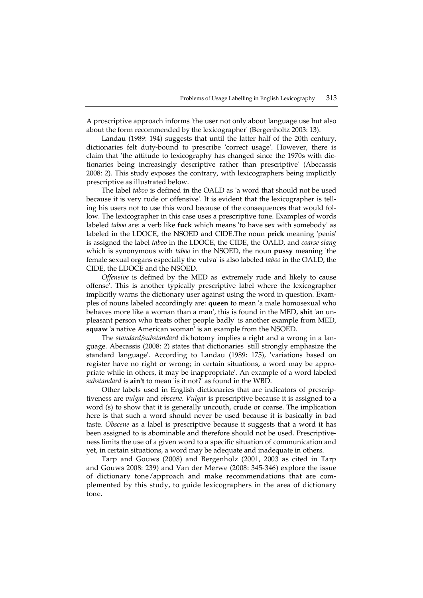A proscriptive approach informs 'the user not only about language use but also about the form recommended by the lexicographer' (Bergenholtz 2003: 13).

Landau (1989: 194) suggests that until the latter half of the 20th century, dictionaries felt duty-bound to prescribe 'correct usage'. However, there is claim that 'the attitude to lexicography has changed since the 1970s with dictionaries being increasingly descriptive rather than prescriptive' (Abecassis 2008: 2). This study exposes the contrary, with lexicographers being implicitly prescriptive as illustrated below.

The label *taboo* is defined in the OALD as 'a word that should not be used because it is very rude or offensive'. It is evident that the lexicographer is telling his users not to use this word because of the consequences that would follow. The lexicographer in this case uses a prescriptive tone. Examples of words labeled *taboo* are: a verb like **fuck** which means 'to have sex with somebody' as labeled in the LDOCE, the NSOED and CIDE.The noun **prick** meaning 'penis' is assigned the label *taboo* in the LDOCE, the CIDE, the OALD, and *coarse slang* which is synonymous with *taboo* in the NSOED, the noun **pussy** meaning 'the female sexual organs especially the vulva' is also labeled *taboo* in the OALD, the CIDE, the LDOCE and the NSOED.

*Offensive* is defined by the MED as 'extremely rude and likely to cause offense'. This is another typically prescriptive label where the lexicographer implicitly warns the dictionary user against using the word in question. Examples of nouns labeled accordingly are: **queen** to mean 'a male homosexual who behaves more like a woman than a man', this is found in the MED, **shit** 'an unpleasant person who treats other people badly' is another example from MED, **squaw** 'a native American woman' is an example from the NSOED.

The *standard/substandard* dichotomy implies a right and a wrong in a language. Abecassis (2008: 2) states that dictionaries 'still strongly emphasize the standard language'. According to Landau (1989: 175), 'variations based on register have no right or wrong; in certain situations, a word may be appropriate while in others, it may be inappropriate'. An example of a word labeled *substandard* is **ain't** to mean 'is it not?' as found in the WBD.

Other labels used in English dictionaries that are indicators of prescriptiveness are *vulgar* and *obscene. Vulgar* is prescriptive because it is assigned to a word (s) to show that it is generally uncouth, crude or coarse. The implication here is that such a word should never be used because it is basically in bad taste. *Obscene* as a label is prescriptive because it suggests that a word it has been assigned to is abominable and therefore should not be used. Prescriptiveness limits the use of a given word to a specific situation of communication and yet, in certain situations, a word may be adequate and inadequate in others.

Tarp and Gouws (2008) and Bergenholz (2001, 2003 as cited in Tarp and Gouws 2008: 239) and Van der Merwe (2008: 345-346) explore the issue of dictionary tone/approach and make recommendations that are complemented by this study, to guide lexicographers in the area of dictionary tone.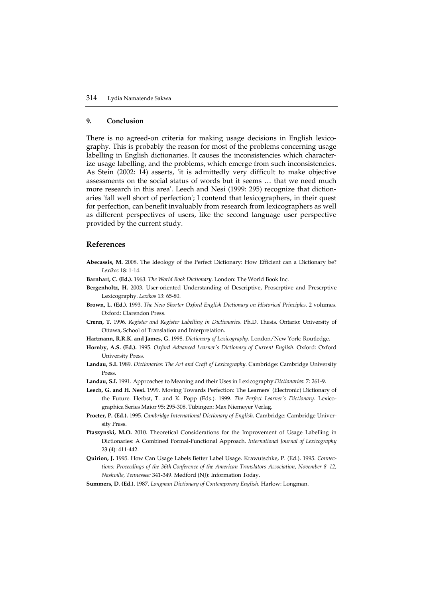#### **9. Conclusion**

There is no agreed-on criteri**a** for making usage decisions in English lexicography. This is probably the reason for most of the problems concerning usage labelling in English dictionaries. It causes the inconsistencies which characterize usage labelling, and the problems, which emerge from such inconsistencies. As Stein (2002: 14) asserts, 'it is admittedly very difficult to make objective assessments on the social status of words but it seems … that we need much more research in this area'. Leech and Nesi (1999: 295) recognize that dictionaries 'fall well short of perfection'; I contend that lexicographers, in their quest for perfection, can benefit invaluably from research from lexicographers as well as different perspectives of users, like the second language user perspective provided by the current study.

### **References**

- **Abecassis, M.** 2008. The Ideology of the Perfect Dictionary: How Efficient can a Dictionary be? *Lexikos* 18: 1-14.
- **Barnhart, C. (Ed.).** 1963. *The World Book Dictionary*. London: The World Book Inc.
- **Bergenholtz, H.** 2003. User-oriented Understanding of Descriptive, Proscrptive and Prescrptive Lexicography. *Lexikos* 13: 65-80.
- **Brown, L. (Ed.).** 1993. *The New Shorter Oxford English Dictionary on Historical Principles*. 2 volumes. Oxford: Clarendon Press.
- **Crenn, T.** 1996. *Register and Register Labelling in Dictionaries*. Ph.D. Thesis. Ontario: University of Ottawa, School of Translation and Interpretation.
- **Hartmann, R.R.K. and James, G.** 1998. *Dictionary of Lexicography.* London/New York: Routledge.
- **Hornby, A.S. (Ed.).** 1995. *Oxford Advanced Learner's Dictionary of Current English*. Oxford: Oxford University Press.
- **Landau, S.I.** 1989*. Dictionaries: The Art and Craft of Lexicography*. Cambridge: Cambridge University Press.
- **Landau, S.I.** 1991*.* Approaches to Meaning and their Uses in Lexicography.*Dictionaries*: 7: 261-9.
- **Leech, G. and H. Nesi.** 1999. Moving Towards Perfection: The Learners' (Electronic) Dictionary of the Future. Herbst, T. and K. Popp (Eds.). 1999. *The Perfect Learner's Dictionary.* Lexicographica Series Maior 95: 295-308. Tübingen: Max Niemeyer Verlag.
- **Procter, P. (Ed.).** 1995. *Cambridge International Dictionary of English*. Cambridge: Cambridge University Press.
- **Ptaszynski, M.O.** 2010. Theoretical Considerations for the Improvement of Usage Labelling in Dictionaries: A Combined Formal-Functional Approach. *International Journal of Lexicography* 23 (4): 411-442.
- **Quirion, J.** 1995. How Can Usage Labels Better Label Usage. Krawutschke, P. (Ed.). 1995. *Connections: Proceedings of the 36th Conference of the American Translators Association, November 8–12, Nashville, Tennessee:* 341-349. Medford (NJ): Information Today.
- **Summers, D. (Ed.).** 1987. *Longman Dictionary of Contemporary English*. Harlow: Longman.